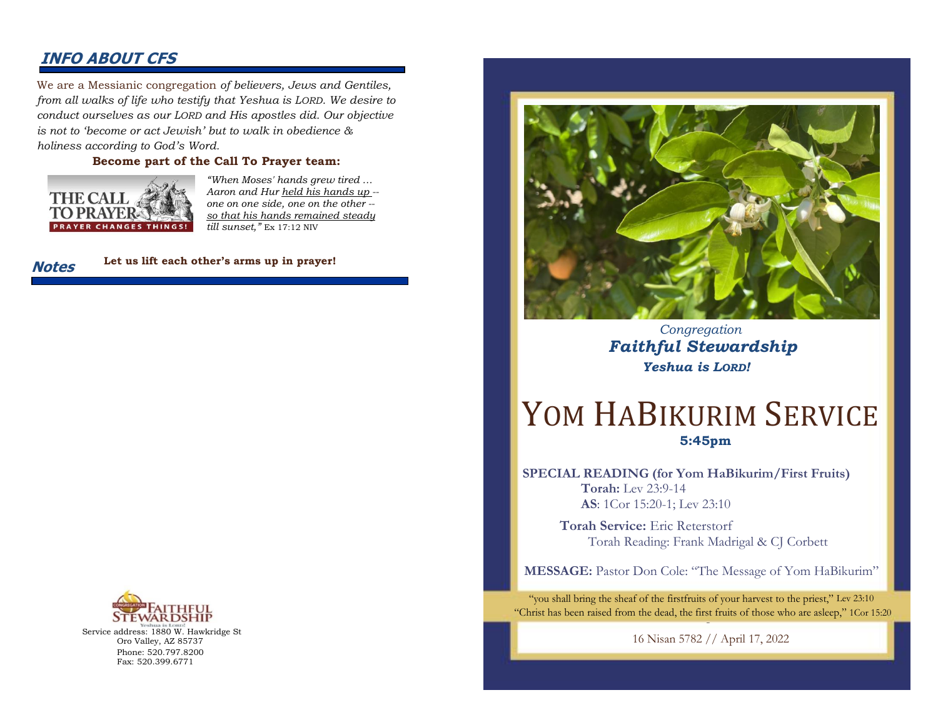### **INFO ABOUT CFS**

We are a Messianic congregation *of believers, Jews and Gentiles, from all walks of life who testify that Yeshua is LORD. We desire to conduct ourselves as our LORD and His apostles did. Our objective is not to 'become or act Jewish' but to walk in obedience & holiness according to God's Word.* 

#### **Become part of the Call To Prayer team:**



*"When Moses' hands grew tired … Aaron and Hur held his hands up - one on one side, one on the other - so that his hands remained steady till sunset,"* Ex 17:12 NIV



**Let us lift each other's arms up in prayer!**



Service address: 1880 W. Hawkridge St Oro Valley, AZ 85737 Phone: 520.797.8200 Fax: 520.399.6771



 *Congregation Faithful Stewardship Yeshua is LORD!*

# YOM HABIKURIM SERVICE **5:45pm**

**SPECIAL READING (for Yom HaBikurim/First Fruits) Torah:** Lev 23:9-14 **AS**: 1Cor 15:20-1; Lev 23:10

> **Torah Service:** Eric Reterstorf Torah Reading: Frank Madrigal & CJ Corbett

**MESSAGE:** Pastor Don Cole: "The Message of Yom HaBikurim"

"you shall bring the sheaf of the firstfruits of your harvest to the priest," Lev 23:10 "Christ has been raised from the dead, the first fruits of those who are asleep," 1Cor 15:20

> 16 Nisan 5782 // April 17, 2022 L